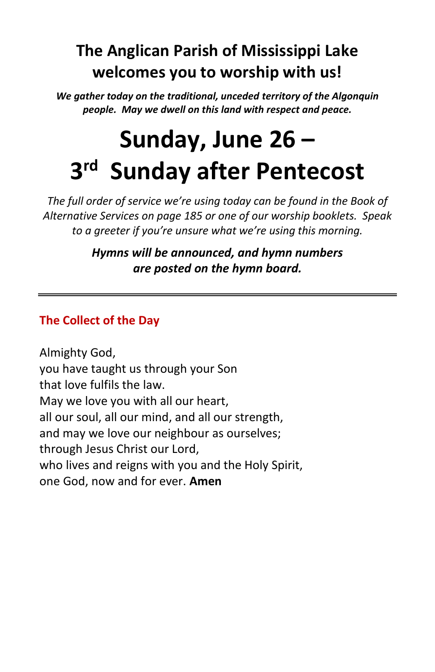## **The Anglican Parish of Mississippi Lake welcomes you to worship with us!**

*We gather today on the traditional, unceded territory of the Algonquin people. May we dwell on this land with respect and peace.*

# **Sunday, June 26 – 3 rd Sunday after Pentecost**

*The full order of service we're using today can be found in the Book of Alternative Services on page 185 or one of our worship booklets. Speak to a greeter if you're unsure what we're using this morning.*

> *Hymns will be announced, and hymn numbers are posted on the hymn board.*

#### **The Collect of the Day**

Almighty God, you have taught us through your Son that love fulfils the law. May we love you with all our heart, all our soul, all our mind, and all our strength, and may we love our neighbour as ourselves; through Jesus Christ our Lord, who lives and reigns with you and the Holy Spirit, one God, now and for ever. **Amen**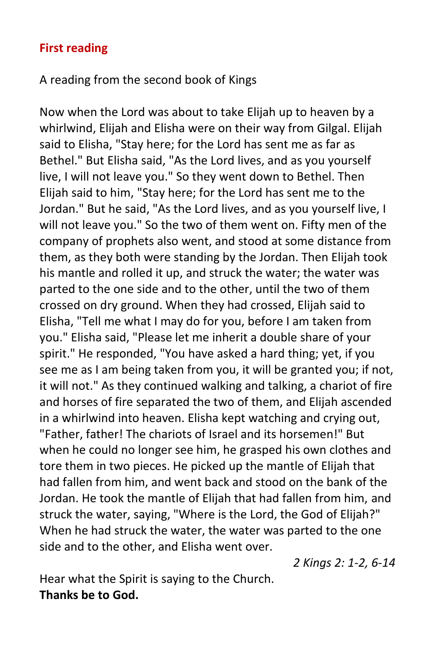#### **First reading**

A reading from the second book of Kings

Now when the Lord was about to take Elijah up to heaven by a whirlwind, Elijah and Elisha were on their way from Gilgal. Elijah said to Elisha, "Stay here; for the Lord has sent me as far as Bethel." But Elisha said, "As the Lord lives, and as you yourself live, I will not leave you." So they went down to Bethel. Then Elijah said to him, "Stay here; for the Lord has sent me to the Jordan." But he said, "As the Lord lives, and as you yourself live, I will not leave you." So the two of them went on. Fifty men of the company of prophets also went, and stood at some distance from them, as they both were standing by the Jordan. Then Elijah took his mantle and rolled it up, and struck the water; the water was parted to the one side and to the other, until the two of them crossed on dry ground. When they had crossed, Elijah said to Elisha, "Tell me what I may do for you, before I am taken from you." Elisha said, "Please let me inherit a double share of your spirit." He responded, "You have asked a hard thing; yet, if you see me as I am being taken from you, it will be granted you; if not, it will not." As they continued walking and talking, a chariot of fire and horses of fire separated the two of them, and Elijah ascended in a whirlwind into heaven. Elisha kept watching and crying out, "Father, father! The chariots of Israel and its horsemen!" But when he could no longer see him, he grasped his own clothes and tore them in two pieces. He picked up the mantle of Elijah that had fallen from him, and went back and stood on the bank of the Jordan. He took the mantle of Elijah that had fallen from him, and struck the water, saying, "Where is the Lord, the God of Elijah?" When he had struck the water, the water was parted to the one side and to the other, and Elisha went over.

*2 Kings 2: 1-2, 6-14*

Hear what the Spirit is saying to the Church. **Thanks be to God.**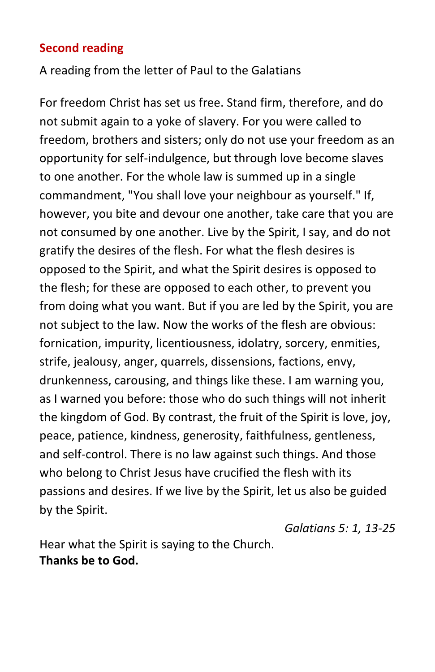#### **Second reading**

A reading from the letter of Paul to the Galatians

For freedom Christ has set us free. Stand firm, therefore, and do not submit again to a yoke of slavery. For you were called to freedom, brothers and sisters; only do not use your freedom as an opportunity for self-indulgence, but through love become slaves to one another. For the whole law is summed up in a single commandment, "You shall love your neighbour as yourself." If, however, you bite and devour one another, take care that you are not consumed by one another. Live by the Spirit, I say, and do not gratify the desires of the flesh. For what the flesh desires is opposed to the Spirit, and what the Spirit desires is opposed to the flesh; for these are opposed to each other, to prevent you from doing what you want. But if you are led by the Spirit, you are not subject to the law. Now the works of the flesh are obvious: fornication, impurity, licentiousness, idolatry, sorcery, enmities, strife, jealousy, anger, quarrels, dissensions, factions, envy, drunkenness, carousing, and things like these. I am warning you, as I warned you before: those who do such things will not inherit the kingdom of God. By contrast, the fruit of the Spirit is love, joy, peace, patience, kindness, generosity, faithfulness, gentleness, and self-control. There is no law against such things. And those who belong to Christ Jesus have crucified the flesh with its passions and desires. If we live by the Spirit, let us also be guided by the Spirit.

*Galatians 5: 1, 13-25*

Hear what the Spirit is saying to the Church. **Thanks be to God.**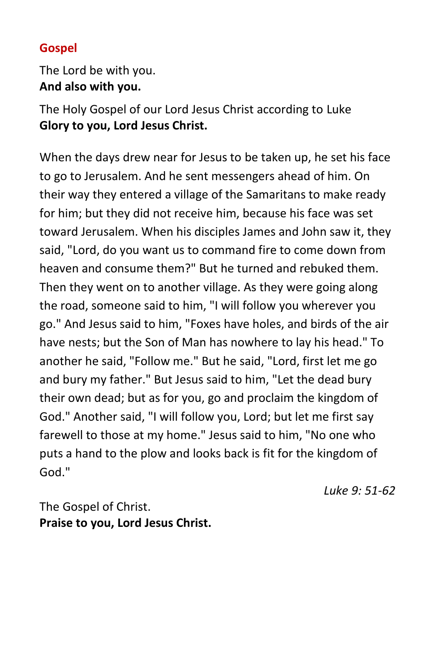#### **Gospel**

The Lord be with you. **And also with you.** 

The Holy Gospel of our Lord Jesus Christ according to Luke **Glory to you, Lord Jesus Christ.**

When the days drew near for Jesus to be taken up, he set his face to go to Jerusalem. And he sent messengers ahead of him. On their way they entered a village of the Samaritans to make ready for him; but they did not receive him, because his face was set toward Jerusalem. When his disciples James and John saw it, they said, "Lord, do you want us to command fire to come down from heaven and consume them?" But he turned and rebuked them. Then they went on to another village. As they were going along the road, someone said to him, "I will follow you wherever you go." And Jesus said to him, "Foxes have holes, and birds of the air have nests; but the Son of Man has nowhere to lay his head." To another he said, "Follow me." But he said, "Lord, first let me go and bury my father." But Jesus said to him, "Let the dead bury their own dead; but as for you, go and proclaim the kingdom of God." Another said, "I will follow you, Lord; but let me first say farewell to those at my home." Jesus said to him, "No one who puts a hand to the plow and looks back is fit for the kingdom of God."

*Luke 9: 51-62*

The Gospel of Christ. **Praise to you, Lord Jesus Christ.**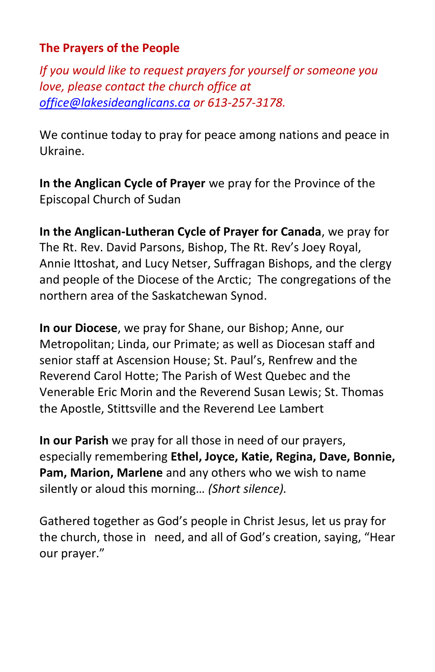#### **The Prayers of the People**

*If you would like to request prayers for yourself or someone you love, please contact the church office at [office@lakesideanglicans.ca](mailto:office@lakesideanglicans.ca) or 613-257-3178.* 

We continue today to pray for peace among nations and peace in Ukraine.

**In the Anglican Cycle of Prayer** we pray for the Province of the Episcopal Church of Sudan

**In the Anglican-Lutheran Cycle of Prayer for Canada**, we pray for The Rt. Rev. David Parsons, Bishop, The Rt. Rev's Joey Royal, Annie Ittoshat, and Lucy Netser, Suffragan Bishops, and the clergy and people of the Diocese of the Arctic; The congregations of the northern area of the Saskatchewan Synod.

**In our Diocese**, we pray for Shane, our Bishop; Anne, our Metropolitan; Linda, our Primate; as well as Diocesan staff and senior staff at Ascension House; St. Paul's, Renfrew and the Reverend Carol Hotte; The Parish of West Quebec and the Venerable Eric Morin and the Reverend Susan Lewis; St. Thomas the Apostle, Stittsville and the Reverend Lee Lambert

**In our Parish** we pray for all those in need of our prayers, especially remembering **Ethel, Joyce, Katie, Regina, Dave, Bonnie, Pam, Marion, Marlene** and any others who we wish to name silently or aloud this morning… *(Short silence).* 

Gathered together as God's people in Christ Jesus, let us pray for the church, those in need, and all of God's creation, saying, "Hear our prayer."